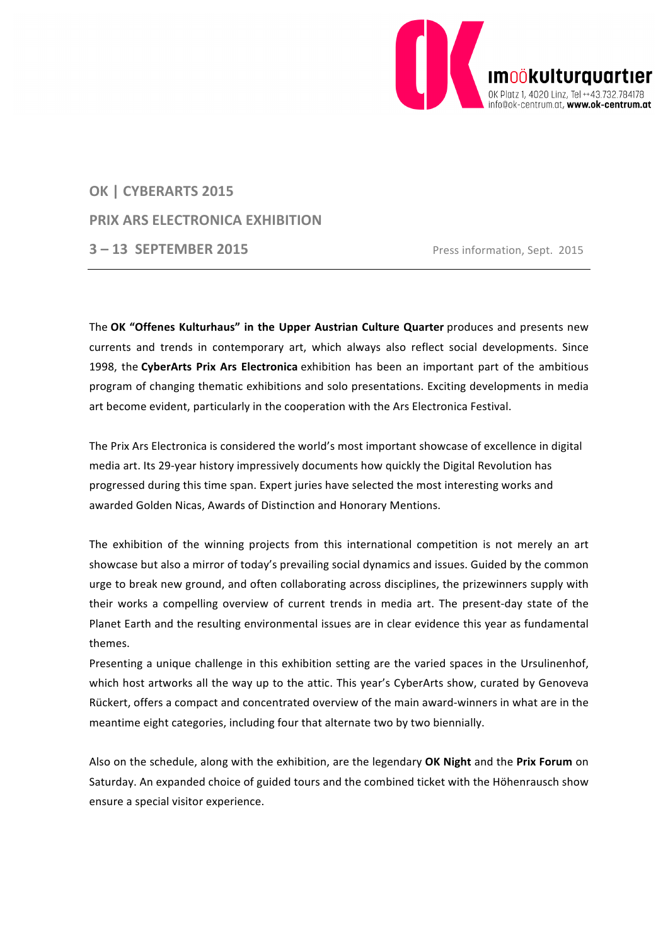

# **OK | CYBERARTS 2015 PRIX ARS ELECTRONICA EXHIBITION 3 – 13 SEPTEMBER 2015** Press information, Sept. 2015

The **OK "Offenes Kulturhaus" in the Upper Austrian Culture Quarter** produces and presents new currents and trends in contemporary art, which always also reflect social developments. Since 1998, the **CyberArts Prix Ars Electronica** exhibition has been an important part of the ambitious program of changing thematic exhibitions and solo presentations. Exciting developments in media art become evident, particularly in the cooperation with the Ars Electronica Festival.

The Prix Ars Electronica is considered the world's most important showcase of excellence in digital media art. Its 29-year history impressively documents how quickly the Digital Revolution has progressed during this time span. Expert juries have selected the most interesting works and awarded Golden Nicas, Awards of Distinction and Honorary Mentions.

The exhibition of the winning projects from this international competition is not merely an art showcase but also a mirror of today's prevailing social dynamics and issues. Guided by the common urge to break new ground, and often collaborating across disciplines, the prizewinners supply with their works a compelling overview of current trends in media art. The present-day state of the Planet Earth and the resulting environmental issues are in clear evidence this year as fundamental themes.

Presenting a unique challenge in this exhibition setting are the varied spaces in the Ursulinenhof, which host artworks all the way up to the attic. This year's CyberArts show, curated by Genoveva Rückert, offers a compact and concentrated overview of the main award-winners in what are in the meantime eight categories, including four that alternate two by two biennially.

Also on the schedule, along with the exhibition, are the legendary **OK Night** and the **Prix Forum** on Saturday. An expanded choice of guided tours and the combined ticket with the Höhenrausch show ensure a special visitor experience.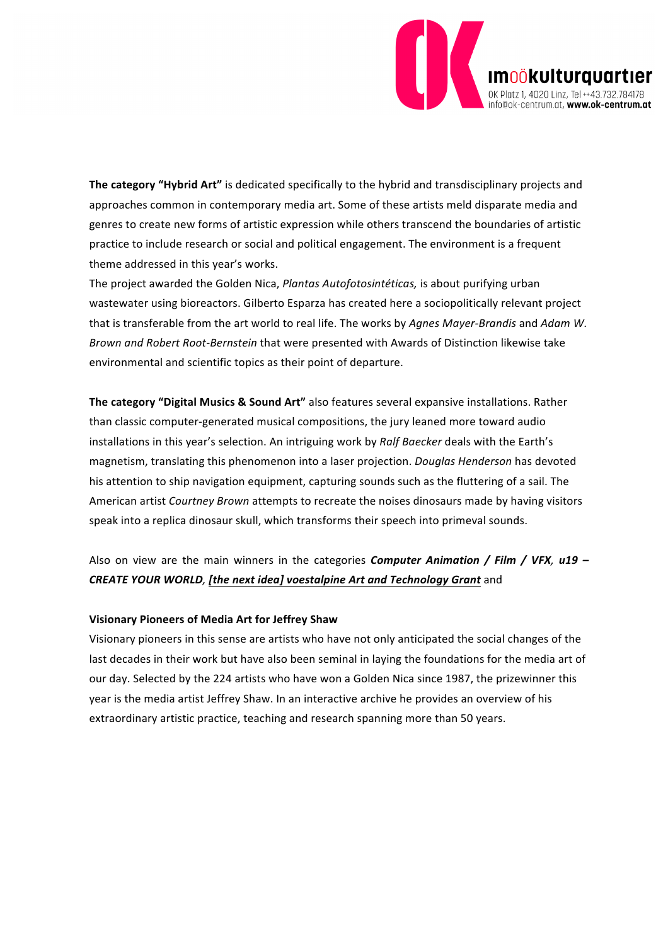

**The category "Hybrid Art"** is dedicated specifically to the hybrid and transdisciplinary projects and approaches common in contemporary media art. Some of these artists meld disparate media and genres to create new forms of artistic expression while others transcend the boundaries of artistic practice to include research or social and political engagement. The environment is a frequent theme addressed in this year's works.

The project awarded the Golden Nica, *Plantas Autofotosintéticas,* is about purifying urban wastewater using bioreactors. Gilberto Esparza has created here a sociopolitically relevant project that is transferable from the art world to real life. The works by *Agnes Mayer-Brandis* and *Adam W. Brown and Robert Root-Bernstein* that were presented with Awards of Distinction likewise take environmental and scientific topics as their point of departure.

**The category "Digital Musics & Sound Art"** also features several expansive installations. Rather than classic computer-generated musical compositions, the jury leaned more toward audio installations in this year's selection. An intriguing work by *Ralf Baecker* deals with the Earth's magnetism, translating this phenomenon into a laser projection. *Douglas Henderson* has devoted his attention to ship navigation equipment, capturing sounds such as the fluttering of a sail. The American artist *Courtney Brown* attempts to recreate the noises dinosaurs made by having visitors speak into a replica dinosaur skull, which transforms their speech into primeval sounds.

### Also on view are the main winners in the categories *Computer Animation / Film / VFX, u19 – CREATE YOUR WORLD, [the next idea] voestalpine Art and Technology Grant* and

### **Visionary Pioneers of Media Art for Jeffrey Shaw**

Visionary pioneers in this sense are artists who have not only anticipated the social changes of the last decades in their work but have also been seminal in laying the foundations for the media art of our day. Selected by the 224 artists who have won a Golden Nica since 1987, the prizewinner this year is the media artist Jeffrey Shaw. In an interactive archive he provides an overview of his extraordinary artistic practice, teaching and research spanning more than 50 years.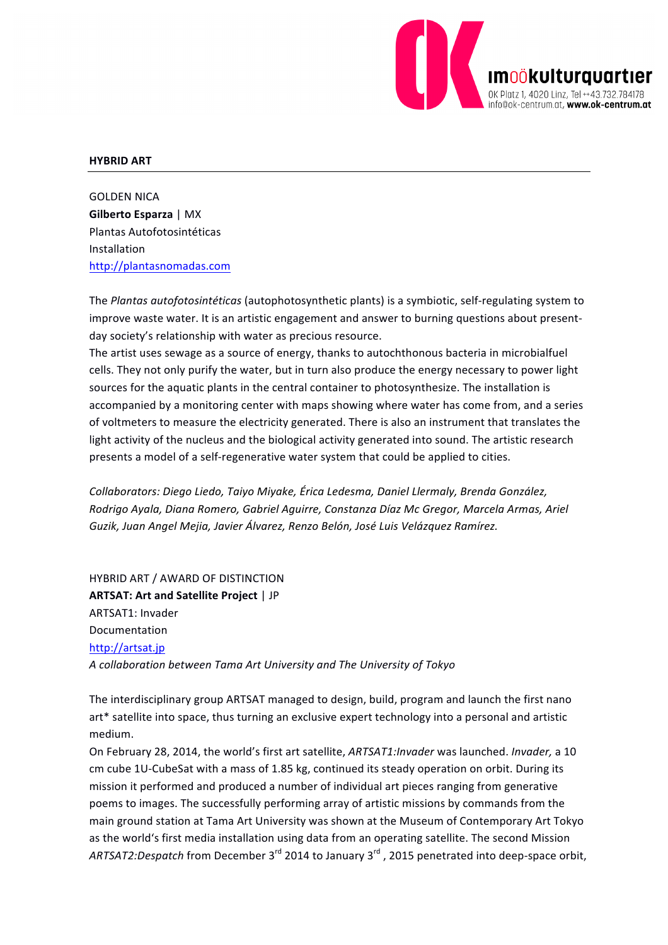

#### **HYBRID ART**

**GOLDEN NICA Gilberto Esparza** | MX Plantas Autofotosintéticas Installation http://plantasnomadas.com

The *Plantas autofotosintéticas* (autophotosynthetic plants) is a symbiotic, self-regulating system to improve waste water. It is an artistic engagement and answer to burning questions about presentday society's relationship with water as precious resource.

The artist uses sewage as a source of energy, thanks to autochthonous bacteria in microbialfuel cells. They not only purify the water, but in turn also produce the energy necessary to power light sources for the aquatic plants in the central container to photosynthesize. The installation is accompanied by a monitoring center with maps showing where water has come from, and a series of voltmeters to measure the electricity generated. There is also an instrument that translates the light activity of the nucleus and the biological activity generated into sound. The artistic research presents a model of a self-regenerative water system that could be applied to cities.

*Collaborators: Diego Liedo, Taiyo Miyake, Érica Ledesma, Daniel Llermaly, Brenda González,*  Rodrigo Ayala, Diana Romero, Gabriel Aguirre, Constanza Díaz Mc Gregor, Marcela Armas, Ariel Guzik, Juan Angel Mejia, Javier Álvarez, Renzo Belón, José Luis Velázquez Ramírez.

HYBRID ART / AWARD OF DISTINCTION **ARTSAT: Art and Satellite Project** | JP ARTSAT1: Invader Documentation http://artsat.jp *A collaboration between Tama Art University and The University of Tokyo*

The interdisciplinary group ARTSAT managed to design, build, program and launch the first nano art\* satellite into space, thus turning an exclusive expert technology into a personal and artistic medium.

On February 28, 2014, the world's first art satellite, *ARTSAT1:Invader* was launched. *Invader*, a 10 cm cube 1U-CubeSat with a mass of 1.85 kg, continued its steady operation on orbit. During its mission it performed and produced a number of individual art pieces ranging from generative poems to images. The successfully performing array of artistic missions by commands from the main ground station at Tama Art University was shown at the Museum of Contemporary Art Tokyo as the world's first media installation using data from an operating satellite. The second Mission ARTSAT2:Despatch from December 3<sup>rd</sup> 2014 to January 3<sup>rd</sup>, 2015 penetrated into deep-space orbit,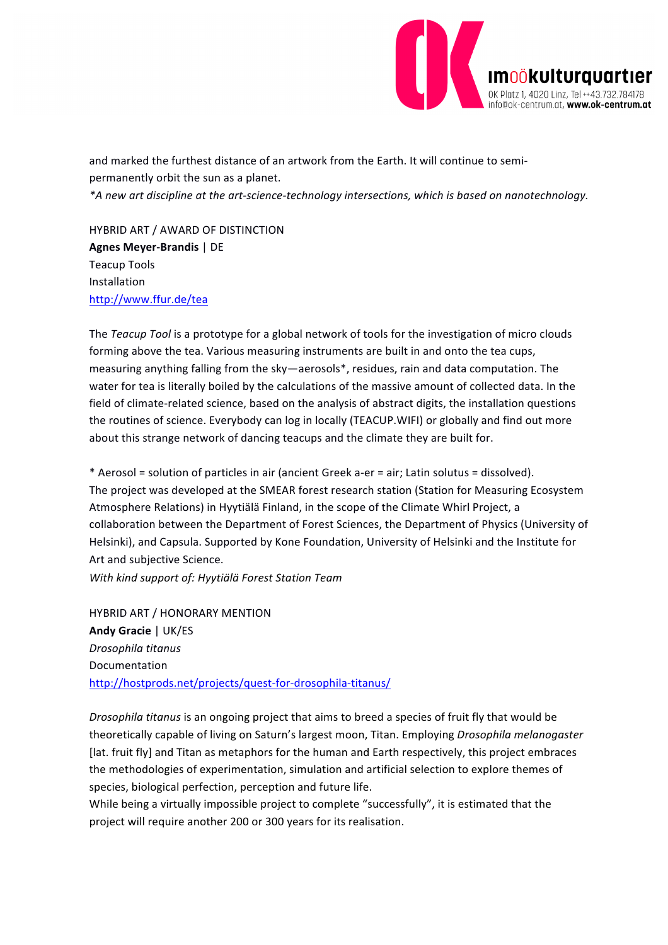

and marked the furthest distance of an artwork from the Earth. It will continue to semipermanently orbit the sun as a planet. *\*A new art discipline at the art-science-technology intersections, which is based on nanotechnology.*

HYBRID ART / AWARD OF DISTINCTION **Agnes Meyer-Brandis** | DE Teacup Tools Installation http://www.ffur.de/tea

The *Teacup* Tool is a prototype for a global network of tools for the investigation of micro clouds forming above the tea. Various measuring instruments are built in and onto the tea cups, measuring anything falling from the sky—aerosols\*, residues, rain and data computation. The water for tea is literally boiled by the calculations of the massive amount of collected data. In the field of climate-related science, based on the analysis of abstract digits, the installation questions the routines of science. Everybody can log in locally (TEACUP.WIFI) or globally and find out more about this strange network of dancing teacups and the climate they are built for.

\* Aerosol = solution of particles in air (ancient Greek a-er = air; Latin solutus = dissolved). The project was developed at the SMEAR forest research station (Station for Measuring Ecosystem Atmosphere Relations) in Hyytiälä Finland, in the scope of the Climate Whirl Project, a collaboration between the Department of Forest Sciences, the Department of Physics (University of Helsinki), and Capsula. Supported by Kone Foundation, University of Helsinki and the Institute for Art and subjective Science.

*With kind support of: Hyytiälä Forest Station Team*

HYBRID ART / HONORARY MENTION **Andy Gracie** | UK/ES *Drosophila titanus* Documentation http://hostprods.net/projects/quest-for-drosophila-titanus/

*Drosophila titanus* is an ongoing project that aims to breed a species of fruit fly that would be theoretically capable of living on Saturn's largest moon, Titan. Employing *Drosophila melanogaster* [lat. fruit fly] and Titan as metaphors for the human and Earth respectively, this project embraces the methodologies of experimentation, simulation and artificial selection to explore themes of species, biological perfection, perception and future life.

While being a virtually impossible project to complete "successfully", it is estimated that the project will require another 200 or 300 years for its realisation.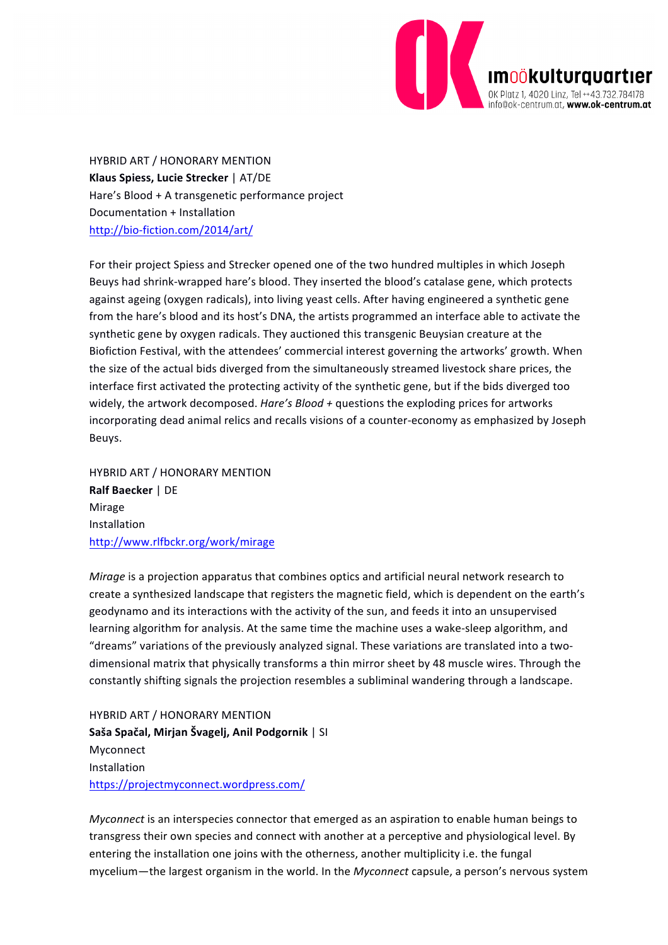

HYBRID ART / HONORARY MENTION **Klaus Spiess, Lucie Strecker** | AT/DE Hare's Blood + A transgenetic performance project Documentation + Installation http://bio-fiction.com/2014/art/

For their project Spiess and Strecker opened one of the two hundred multiples in which Joseph Beuys had shrink-wrapped hare's blood. They inserted the blood's catalase gene, which protects against ageing (oxygen radicals), into living yeast cells. After having engineered a synthetic gene from the hare's blood and its host's DNA, the artists programmed an interface able to activate the synthetic gene by oxygen radicals. They auctioned this transgenic Beuysian creature at the Biofiction Festival, with the attendees' commercial interest governing the artworks' growth. When the size of the actual bids diverged from the simultaneously streamed livestock share prices, the interface first activated the protecting activity of the synthetic gene, but if the bids diverged too widely, the artwork decomposed.  $Hare's Blood + questions$  the exploding prices for artworks incorporating dead animal relics and recalls visions of a counter-economy as emphasized by Joseph Beuys.

HYBRID ART / HONORARY MENTION **Ralf Baecker | DE** Mirage Installation http://www.rlfbckr.org/work/mirage

*Mirage* is a projection apparatus that combines optics and artificial neural network research to create a synthesized landscape that registers the magnetic field, which is dependent on the earth's geodynamo and its interactions with the activity of the sun, and feeds it into an unsupervised learning algorithm for analysis. At the same time the machine uses a wake-sleep algorithm, and "dreams" variations of the previously analyzed signal. These variations are translated into a twodimensional matrix that physically transforms a thin mirror sheet by 48 muscle wires. Through the constantly shifting signals the projection resembles a subliminal wandering through a landscape.

HYBRID ART / HONORARY MENTION Saša Spačal, Mirjan Švagelj, Anil Podgornik | SI Myconnect Installation https://projectmyconnect.wordpress.com/

*Myconnect* is an interspecies connector that emerged as an aspiration to enable human beings to transgress their own species and connect with another at a perceptive and physiological level. By entering the installation one joins with the otherness, another multiplicity i.e. the fungal mycelium—the largest organism in the world. In the *Myconnect* capsule, a person's nervous system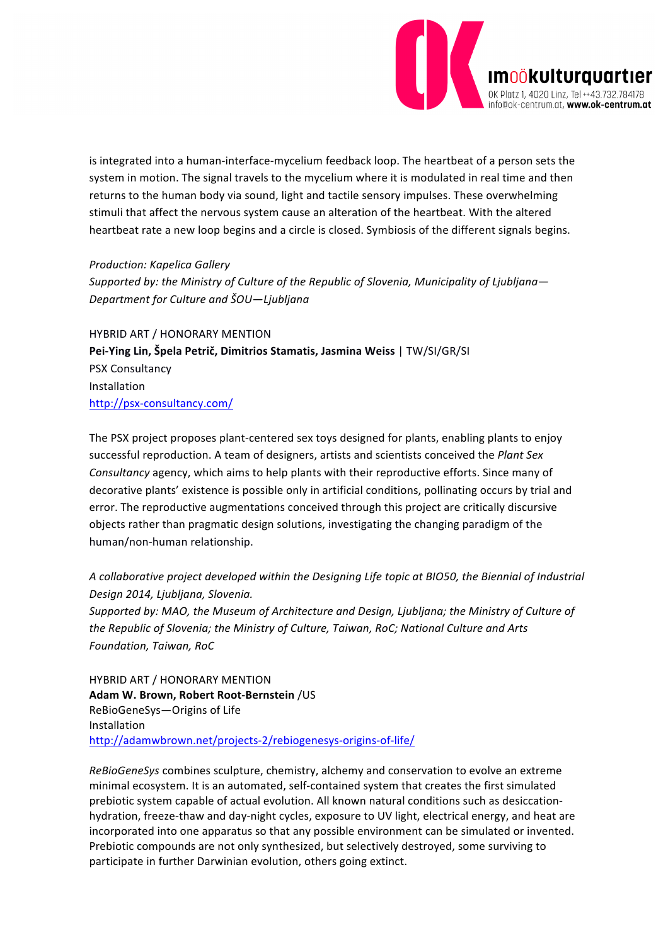

is integrated into a human-interface-mycelium feedback loop. The heartbeat of a person sets the system in motion. The signal travels to the mycelium where it is modulated in real time and then returns to the human body via sound, light and tactile sensory impulses. These overwhelming stimuli that affect the nervous system cause an alteration of the heartbeat. With the altered heartbeat rate a new loop begins and a circle is closed. Symbiosis of the different signals begins.

### **Production: Kapelica Gallery**

Supported by: the Ministry of Culture of the Republic of Slovenia, Municipality of Ljubljana-*Department for Culture and ŠOU—Ljubljana*

HYBRID ART / HONORARY MENTION **Pei-Ying Lin, Špela Petrič, Dimitrios Stamatis, Jasmina Weiss** | TW/SI/GR/SI PSX Consultancy Installation http://psx-consultancy.com/

The PSX project proposes plant-centered sex toys designed for plants, enabling plants to enjoy successful reproduction. A team of designers, artists and scientists conceived the *Plant Sex* Consultancy agency, which aims to help plants with their reproductive efforts. Since many of decorative plants' existence is possible only in artificial conditions, pollinating occurs by trial and error. The reproductive augmentations conceived through this project are critically discursive objects rather than pragmatic design solutions, investigating the changing paradigm of the human/non-human relationship.

A collaborative project developed within the Designing Life topic at BIO50, the Biennial of Industrial *Design 2014, Ljubljana, Slovenia.*

Supported by: MAO, the Museum of Architecture and Design, Ljubljana; the Ministry of Culture of the Republic of Slovenia; the Ministry of Culture, Taiwan, RoC; National Culture and Arts *Foundation, Taiwan, RoC*

HYBRID ART / HONORARY MENTION **Adam W. Brown, Robert Root-Bernstein** /US ReBioGeneSys-Origins of Life Installation http://adamwbrown.net/projects-2/rebiogenesys-origins-of-life/

*ReBioGeneSys* combines sculpture, chemistry, alchemy and conservation to evolve an extreme minimal ecosystem. It is an automated, self-contained system that creates the first simulated prebiotic system capable of actual evolution. All known natural conditions such as desiccationhydration, freeze-thaw and day-night cycles, exposure to UV light, electrical energy, and heat are incorporated into one apparatus so that any possible environment can be simulated or invented. Prebiotic compounds are not only synthesized, but selectively destroyed, some surviving to participate in further Darwinian evolution, others going extinct.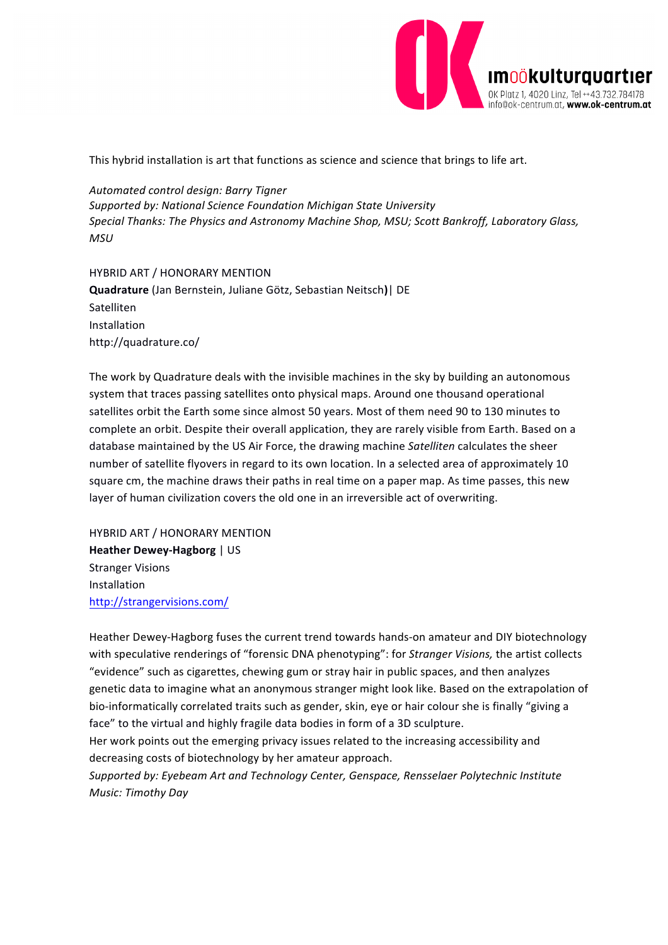

This hybrid installation is art that functions as science and science that brings to life art.

*Automated control design: Barry Tigner* Supported by: National Science Foundation Michigan State University Special Thanks: The Physics and Astronomy Machine Shop, MSU; Scott Bankroff, Laboratory Glass, *MSU*

HYBRID ART / HONORARY MENTION **Quadrature** (Jan Bernstein, Juliane Götz, Sebastian Neitsch**)**| DE Satelliten Installation http://quadrature.co/

The work by Quadrature deals with the invisible machines in the sky by building an autonomous system that traces passing satellites onto physical maps. Around one thousand operational satellites orbit the Earth some since almost 50 years. Most of them need 90 to 130 minutes to complete an orbit. Despite their overall application, they are rarely visible from Earth. Based on a database maintained by the US Air Force, the drawing machine *Satelliten* calculates the sheer number of satellite flyovers in regard to its own location. In a selected area of approximately 10 square cm, the machine draws their paths in real time on a paper map. As time passes, this new layer of human civilization covers the old one in an irreversible act of overwriting.

HYBRID ART / HONORARY MENTION **Heather Dewey-Hagborg** | US **Stranger Visions** Installation http://strangervisions.com/

Heather Dewey-Hagborg fuses the current trend towards hands-on amateur and DIY biotechnology with speculative renderings of "forensic DNA phenotyping": for *Stranger Visions*, the artist collects "evidence" such as cigarettes, chewing gum or stray hair in public spaces, and then analyzes genetic data to imagine what an anonymous stranger might look like. Based on the extrapolation of bio-informatically correlated traits such as gender, skin, eye or hair colour she is finally "giving a face" to the virtual and highly fragile data bodies in form of a 3D sculpture.

Her work points out the emerging privacy issues related to the increasing accessibility and decreasing costs of biotechnology by her amateur approach.

Supported by: Eyebeam Art and Technology Center, Genspace, Rensselaer Polytechnic Institute *Music: Timothy Day*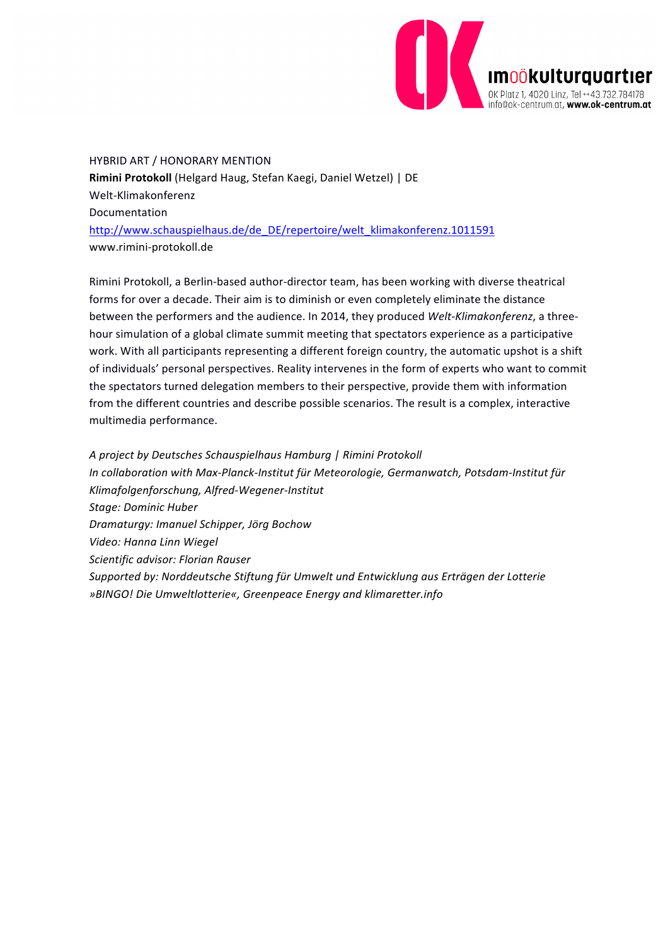

HYBRID ART / HONORARY MENTION Rimini Protokoll (Helgard Haug, Stefan Kaegi, Daniel Wetzel) | DE Welt-Klimakonferenz Documentation http://www.schauspielhaus.de/de\_DE/repertoire/welt\_klimakonferenz.1011591 www.rimini-protokoll.de

Rimini Protokoll, a Berlin-based author-director team, has been working with diverse theatrical forms for over a decade. Their aim is to diminish or even completely eliminate the distance between the performers and the audience. In 2014, they produced *Welt-Klimakonferenz*, a threehour simulation of a global climate summit meeting that spectators experience as a participative work. With all participants representing a different foreign country, the automatic upshot is a shift of individuals' personal perspectives. Reality intervenes in the form of experts who want to commit the spectators turned delegation members to their perspective, provide them with information from the different countries and describe possible scenarios. The result is a complex, interactive multimedia performance.

*A project by Deutsches Schauspielhaus Hamburg | Rimini Protokoll* In collaboration with Max-Planck-Institut für Meteorologie, Germanwatch, Potsdam-Institut für *Klimafolgenforschung, Alfred-Wegener-Institut Stage: Dominic Huber Dramaturgy: Imanuel Schipper, Jörg Bochow Video: Hanna Linn Wiegel Scientific advisor: Florian Rauser* Supported by: Norddeutsche Stiftung für Umwelt und Entwicklung aus Erträgen der Lotterie *»BINGO! Die Umweltlotterie«, Greenpeace Energy and klimaretter.info*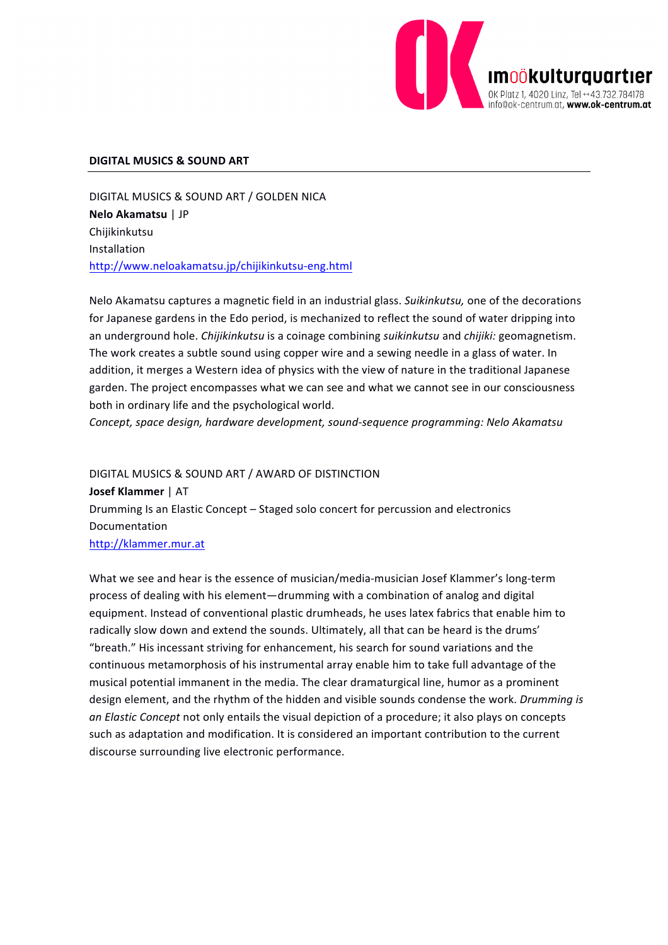

#### **DIGITAL MUSICS & SOUND ART**

DIGITAL MUSICS & SOUND ART / GOLDEN NICA **Nelo Akamatsu** | JP Chijikinkutsu Installation http://www.neloakamatsu.jp/chijikinkutsu-eng.html

Nelo Akamatsu captures a magnetic field in an industrial glass. Suikinkutsu, one of the decorations for Japanese gardens in the Edo period, is mechanized to reflect the sound of water dripping into an underground hole. *Chijikinkutsu* is a coinage combining *suikinkutsu* and *chijiki:* geomagnetism. The work creates a subtle sound using copper wire and a sewing needle in a glass of water. In addition, it merges a Western idea of physics with the view of nature in the traditional Japanese garden. The project encompasses what we can see and what we cannot see in our consciousness both in ordinary life and the psychological world.

Concept, space design, hardware development, sound-sequence programming: Nelo Akamatsu

DIGITAL MUSICS & SOUND ART / AWARD OF DISTINCTION **Josef Klammer** | AT Drumming Is an Elastic Concept – Staged solo concert for percussion and electronics Documentation http://klammer.mur.at

What we see and hear is the essence of musician/media-musician Josef Klammer's long-term process of dealing with his element—drumming with a combination of analog and digital equipment. Instead of conventional plastic drumheads, he uses latex fabrics that enable him to radically slow down and extend the sounds. Ultimately, all that can be heard is the drums' "breath." His incessant striving for enhancement, his search for sound variations and the continuous metamorphosis of his instrumental array enable him to take full advantage of the musical potential immanent in the media. The clear dramaturgical line, humor as a prominent design element, and the rhythm of the hidden and visible sounds condense the work. *Drumming is* an Elastic Concept not only entails the visual depiction of a procedure; it also plays on concepts such as adaptation and modification. It is considered an important contribution to the current discourse surrounding live electronic performance.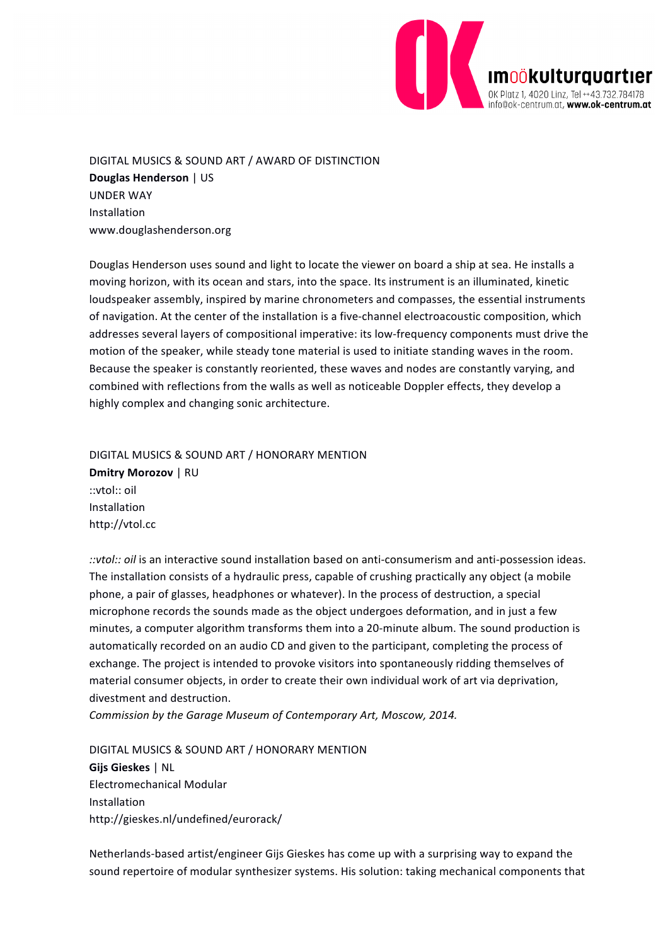

DIGITAL MUSICS & SOUND ART / AWARD OF DISTINCTION **Douglas Henderson** | US UNDER WAY Installation www.douglashenderson.org

Douglas Henderson uses sound and light to locate the viewer on board a ship at sea. He installs a moving horizon, with its ocean and stars, into the space. Its instrument is an illuminated, kinetic loudspeaker assembly, inspired by marine chronometers and compasses, the essential instruments of navigation. At the center of the installation is a five-channel electroacoustic composition, which addresses several layers of compositional imperative: its low-frequency components must drive the motion of the speaker, while steady tone material is used to initiate standing waves in the room. Because the speaker is constantly reoriented, these waves and nodes are constantly varying, and combined with reflections from the walls as well as noticeable Doppler effects, they develop a highly complex and changing sonic architecture.

DIGITAL MUSICS & SOUND ART / HONORARY MENTION **Dmitry Morozov** | RU ::vtol:: oil Installation http://vtol.cc

::vtol:: oil is an interactive sound installation based on anti-consumerism and anti-possession ideas. The installation consists of a hydraulic press, capable of crushing practically any object (a mobile phone, a pair of glasses, headphones or whatever). In the process of destruction, a special microphone records the sounds made as the object undergoes deformation, and in just a few minutes, a computer algorithm transforms them into a 20-minute album. The sound production is automatically recorded on an audio CD and given to the participant, completing the process of exchange. The project is intended to provoke visitors into spontaneously ridding themselves of material consumer objects, in order to create their own individual work of art via deprivation, divestment and destruction.

*Commission by the Garage Museum of Contemporary Art, Moscow, 2014.*

DIGITAL MUSICS & SOUND ART / HONORARY MENTION **Gijs Gieskes** | NL Electromechanical Modular Installation http://gieskes.nl/undefined/eurorack/

Netherlands-based artist/engineer Gijs Gieskes has come up with a surprising way to expand the sound repertoire of modular synthesizer systems. His solution: taking mechanical components that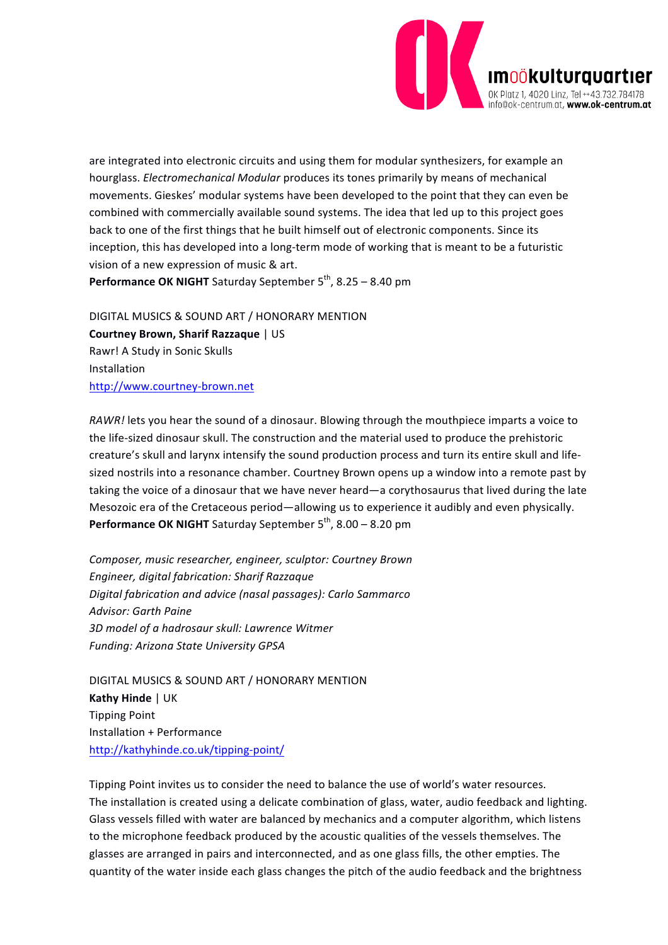

are integrated into electronic circuits and using them for modular synthesizers, for example an hourglass. *Electromechanical Modular* produces its tones primarily by means of mechanical movements. Gieskes' modular systems have been developed to the point that they can even be combined with commercially available sound systems. The idea that led up to this project goes back to one of the first things that he built himself out of electronic components. Since its inception, this has developed into a long-term mode of working that is meant to be a futuristic vision of a new expression of music & art.

**Performance OK NIGHT** Saturday September  $5<sup>th</sup>$ , 8.25 – 8.40 pm

DIGITAL MUSICS & SOUND ART / HONORARY MENTION **Courtney Brown, Sharif Razzaque** | US Rawr! A Study in Sonic Skulls Installation http://www.courtney-brown.net

*RAWR!* lets you hear the sound of a dinosaur. Blowing through the mouthpiece imparts a voice to the life-sized dinosaur skull. The construction and the material used to produce the prehistoric creature's skull and larynx intensify the sound production process and turn its entire skull and lifesized nostrils into a resonance chamber. Courtney Brown opens up a window into a remote past by taking the voice of a dinosaur that we have never heard—a corythosaurus that lived during the late Mesozoic era of the Cretaceous period—allowing us to experience it audibly and even physically. **Performance OK NIGHT** Saturday September 5<sup>th</sup>, 8.00 – 8.20 pm

*Composer, music researcher, engineer, sculptor: Courtney Brown Engineer, digital fabrication: Sharif Razzaque Digital fabrication and advice (nasal passages): Carlo Sammarco Advisor: Garth Paine 3D model of a hadrosaur skull: Lawrence Witmer Funding: Arizona State University GPSA*

DIGITAL MUSICS & SOUND ART / HONORARY MENTION **Kathy Hinde** | UK Tipping Point Installation + Performance http://kathyhinde.co.uk/tipping-point/

Tipping Point invites us to consider the need to balance the use of world's water resources. The installation is created using a delicate combination of glass, water, audio feedback and lighting. Glass vessels filled with water are balanced by mechanics and a computer algorithm, which listens to the microphone feedback produced by the acoustic qualities of the vessels themselves. The glasses are arranged in pairs and interconnected, and as one glass fills, the other empties. The quantity of the water inside each glass changes the pitch of the audio feedback and the brightness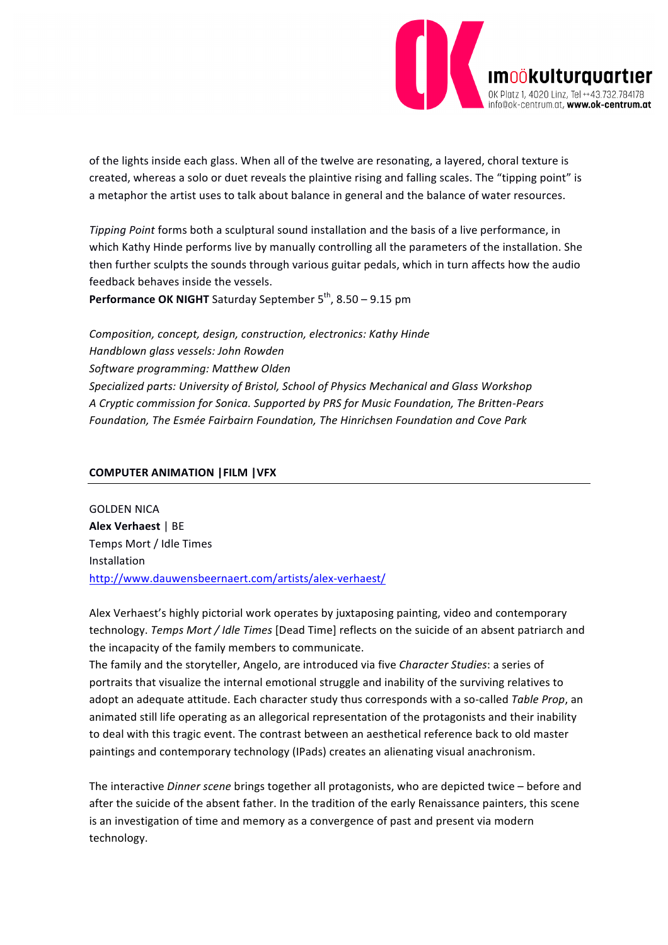

of the lights inside each glass. When all of the twelve are resonating, a layered, choral texture is created, whereas a solo or duet reveals the plaintive rising and falling scales. The "tipping point" is a metaphor the artist uses to talk about balance in general and the balance of water resources.

*Tipping Point* forms both a sculptural sound installation and the basis of a live performance, in which Kathy Hinde performs live by manually controlling all the parameters of the installation. She then further sculpts the sounds through various guitar pedals, which in turn affects how the audio feedback behaves inside the vessels.

**Performance OK NIGHT** Saturday September 5<sup>th</sup>, 8.50 – 9.15 pm

**Composition, concept, design, construction, electronics: Kathy Hinde** *Handblown glass vessels: John Rowden Software programming: Matthew Olden* Specialized parts: University of Bristol, School of Physics Mechanical and Glass Workshop A Cryptic commission for Sonica. Supported by PRS for Music Foundation, The Britten-Pears *Foundation, The Esmée Fairbairn Foundation, The Hinrichsen Foundation and Cove Park*

### **COMPUTER ANIMATION |FILM |VFX**

**GOLDEN NICA Alex Verhaest | BE** Temps Mort / Idle Times Installation http://www.dauwensbeernaert.com/artists/alex-verhaest/

Alex Verhaest's highly pictorial work operates by juxtaposing painting, video and contemporary technology. *Temps Mort / Idle Times* [Dead Time] reflects on the suicide of an absent patriarch and the incapacity of the family members to communicate.

The family and the storyteller, Angelo, are introduced via five *Character Studies*: a series of portraits that visualize the internal emotional struggle and inability of the surviving relatives to adopt an adequate attitude. Each character study thus corresponds with a so-called Table Prop, an animated still life operating as an allegorical representation of the protagonists and their inability to deal with this tragic event. The contrast between an aesthetical reference back to old master paintings and contemporary technology (IPads) creates an alienating visual anachronism.

The interactive *Dinner scene* brings together all protagonists, who are depicted twice – before and after the suicide of the absent father. In the tradition of the early Renaissance painters, this scene is an investigation of time and memory as a convergence of past and present via modern technology.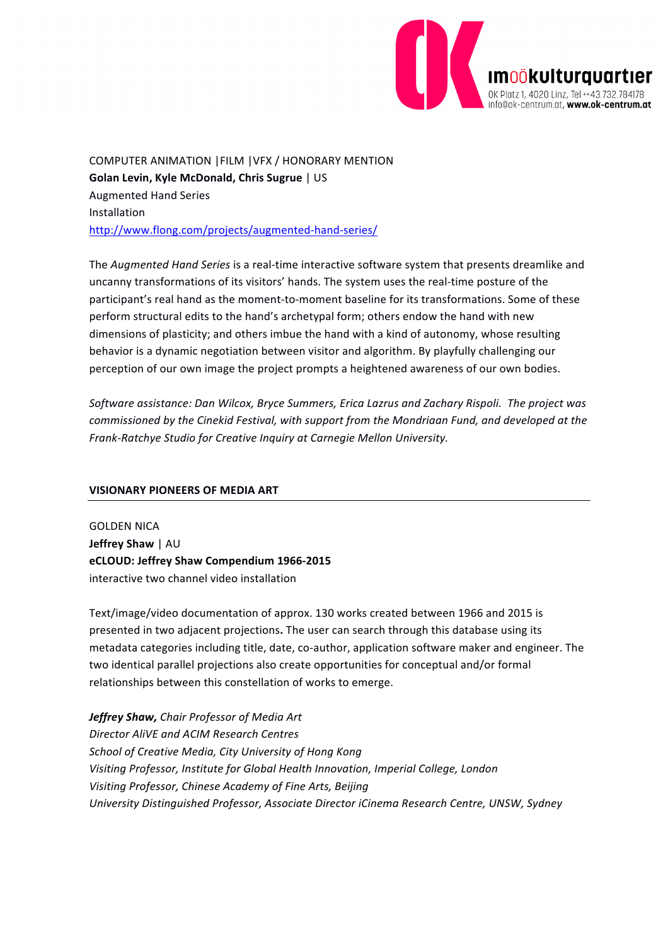

COMPUTER ANIMATION | FILM | VFX / HONORARY MENTION **Golan Levin, Kyle McDonald, Chris Sugrue** | US Augmented Hand Series Installation http://www.flong.com/projects/augmented-hand-series/

The *Augmented Hand Series* is a real-time interactive software system that presents dreamlike and uncanny transformations of its visitors' hands. The system uses the real-time posture of the participant's real hand as the moment-to-moment baseline for its transformations. Some of these perform structural edits to the hand's archetypal form; others endow the hand with new dimensions of plasticity; and others imbue the hand with a kind of autonomy, whose resulting behavior is a dynamic negotiation between visitor and algorithm. By playfully challenging our perception of our own image the project prompts a heightened awareness of our own bodies.

Software assistance: Dan Wilcox, Bryce Summers, Erica Lazrus and Zachary Rispoli. The project was *commissioned by the Cinekid Festival, with support from the Mondriaan Fund, and developed at the* Frank-Ratchye Studio for Creative Inquiry at Carnegie Mellon University.

### **VISIONARY PIONEERS OF MEDIA ART**

**GOLDEN NICA Jeffrey Shaw** | AU **eCLOUD: Jeffrey Shaw Compendium 1966-2015** interactive two channel video installation

Text/image/video documentation of approx. 130 works created between 1966 and 2015 is presented in two adjacent projections. The user can search through this database using its metadata categories including title, date, co-author, application software maker and engineer. The two identical parallel projections also create opportunities for conceptual and/or formal relationships between this constellation of works to emerge.

**Jeffrey Shaw, Chair Professor of Media Art** *Director AliVE and ACIM Research Centres* School of Creative Media, City University of Hong Kong Visiting Professor, Institute for Global Health Innovation, Imperial College, London *Visiting Professor, Chinese Academy of Fine Arts, Beijing University Distinguished Professor, Associate Director iCinema Research Centre, UNSW, Sydney*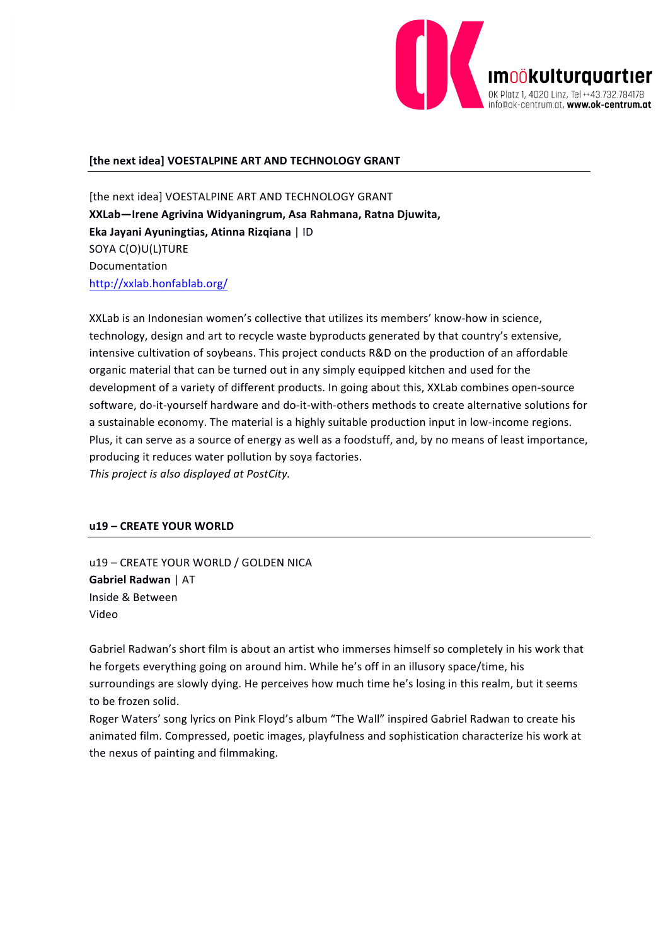

### [the next idea] VOESTALPINE ART AND TECHNOLOGY GRANT

[the next idea] VOESTALPINE ART AND TECHNOLOGY GRANT **XXLab—Irene Agrivina Widyaningrum, Asa Rahmana, Ratna Djuwita, Eka Jayani Ayuningtias, Atinna Rizqiana** | ID SOYA C(O)U(L)TURE Documentation http://xxlab.honfablab.org/

XXLab is an Indonesian women's collective that utilizes its members' know-how in science. technology, design and art to recycle waste byproducts generated by that country's extensive, intensive cultivation of soybeans. This project conducts R&D on the production of an affordable organic material that can be turned out in any simply equipped kitchen and used for the development of a variety of different products. In going about this, XXLab combines open-source software, do-it-yourself hardware and do-it-with-others methods to create alternative solutions for a sustainable economy. The material is a highly suitable production input in low-income regions. Plus, it can serve as a source of energy as well as a foodstuff, and, by no means of least importance, producing it reduces water pollution by soya factories. This project is also displayed at PostCity.

### **u19 – CREATE YOUR WORLD**

u19 - CREATE YOUR WORLD / GOLDEN NICA **Gabriel Radwan** | AT Inside & Between Video

Gabriel Radwan's short film is about an artist who immerses himself so completely in his work that he forgets everything going on around him. While he's off in an illusory space/time, his surroundings are slowly dying. He perceives how much time he's losing in this realm, but it seems to be frozen solid.

Roger Waters' song lyrics on Pink Floyd's album "The Wall" inspired Gabriel Radwan to create his animated film. Compressed, poetic images, playfulness and sophistication characterize his work at the nexus of painting and filmmaking.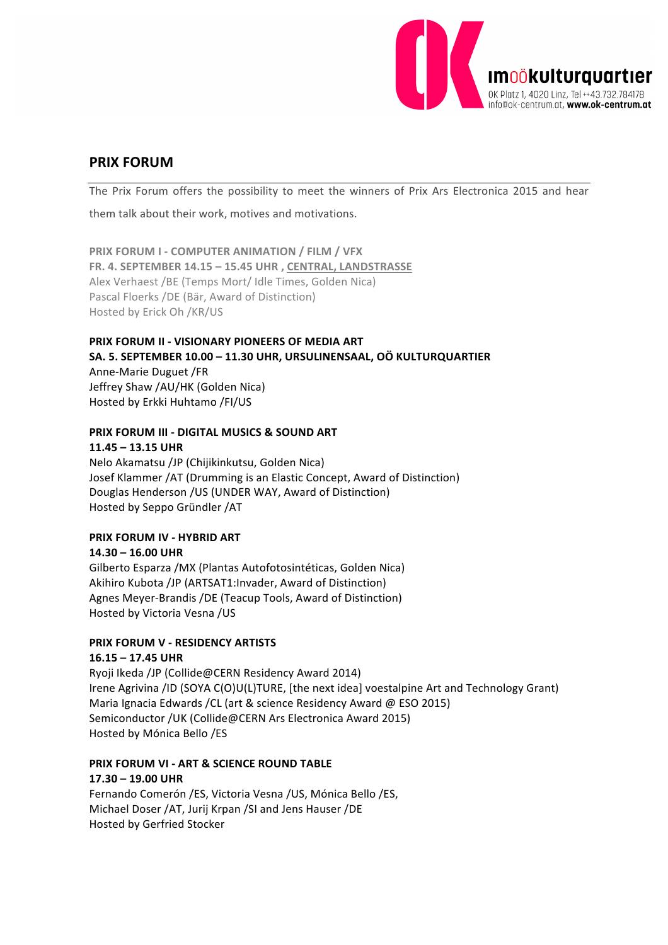

### **PRIX FORUM**

The Prix Forum offers the possibility to meet the winners of Prix Ars Electronica 2015 and hear

them talk about their work, motives and motivations.

**PRIX FORUM I - COMPUTER ANIMATION / FILM / VFX** FR. 4. SEPTEMBER 14.15 - 15.45 UHR , CENTRAL, LANDSTRASSE Alex Verhaest /BE (Temps Mort/ Idle Times, Golden Nica) Pascal Floerks /DE (Bär, Award of Distinction) Hosted by Erick Oh /KR/US

### **PRIX FORUM II - VISIONARY PIONEERS OF MEDIA ART SA. 5. SEPTEMBER 10.00 – 11.30 UHR, URSULINENSAAL, OÖ KULTURQUARTIER**

Anne-Marie Duguet /FR Jeffrey Shaw /AU/HK (Golden Nica) Hosted by Erkki Huhtamo /FI/US

### **PRIX FORUM III - DIGITAL MUSICS & SOUND ART**

## **11.45 – 13.15 UHR**

Nelo Akamatsu /JP (Chijikinkutsu, Golden Nica) Josef Klammer /AT (Drumming is an Elastic Concept, Award of Distinction) Douglas Henderson /US (UNDER WAY, Award of Distinction) Hosted by Seppo Gründler /AT

### **PRIX FORUM IV - HYBRID ART**

**14.30 – 16.00 UHR**  Gilberto Esparza / MX (Plantas Autofotosintéticas, Golden Nica) Akihiro Kubota /JP (ARTSAT1:Invader, Award of Distinction) Agnes Meyer-Brandis /DE (Teacup Tools, Award of Distinction) Hosted by Victoria Vesna /US

### **PRIX FORUM V - RESIDENCY ARTISTS**

### **16.15 – 17.45 UHR**

Ryoji Ikeda /JP (Collide@CERN Residency Award 2014) Irene Agrivina /ID (SOYA C(O)U(L)TURE, [the next idea] voestalpine Art and Technology Grant) Maria Ignacia Edwards / CL (art & science Residency Award @ ESO 2015) Semiconductor / UK (Collide@CERN Ars Electronica Award 2015) Hosted by Mónica Bello /ES

### **PRIX FORUM VI - ART & SCIENCE ROUND TABLE 17.30 – 19.00 UHR**

Fernando Comerón /ES, Victoria Vesna /US, Mónica Bello /ES, Michael Doser /AT, Jurij Krpan /SI and Jens Hauser /DE Hosted by Gerfried Stocker